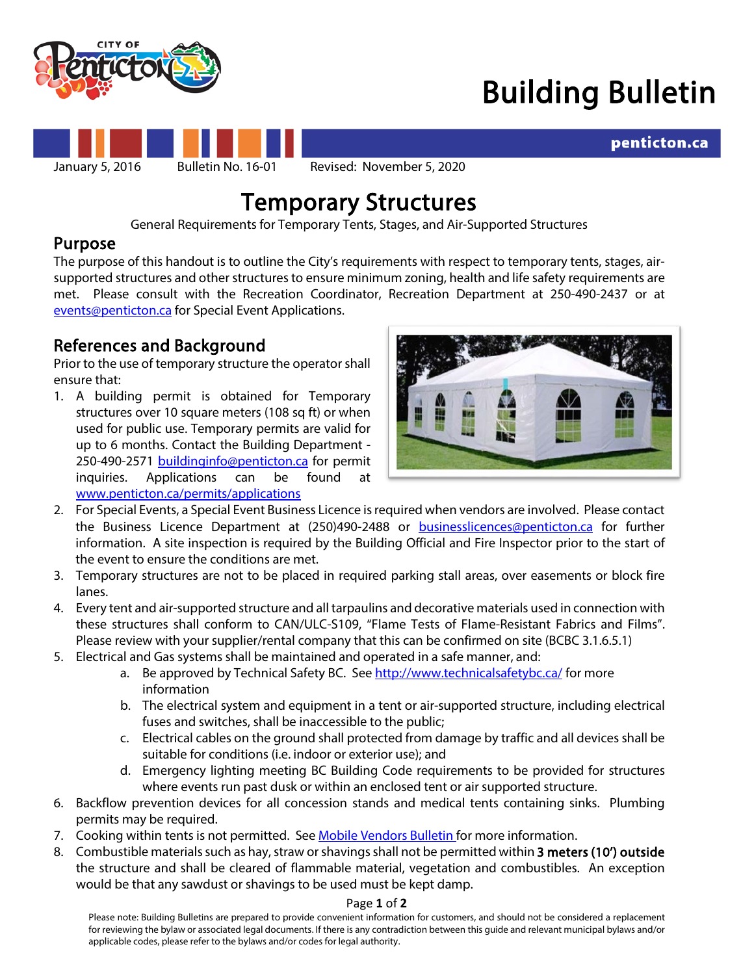

# Building Bulletin

penticton.ca



**Temporary Structures**<br>General Requirements for Temporary Tents, Stages, and Air-Supported Structures

# Purpose

The purpose of this handout is to outline the City's requirements with respect to temporary tents, stages, airsupported structures and other structures to ensure minimum zoning, health and life safety requirements are met. Please consult with the Recreation Coordinator, Recreation Department at 250-490-2437 or at [events@penticton.ca](mailto:events@penticton.ca) for Special Event Applications.

**References and Background**<br>Prior to the use of temporary structure the operator shall ensure that:

1. A building permit is obtained for Temporary structures over 10 square meters (108 sq ft) or when used for public use. Temporary permits are valid for up to 6 months. Contact the Building Department - 250-490-2571 [buildinginfo@penticton.ca](mailto:buildinginfo@penticton.ca) for permit inquiries. Applications can be found at [www.penticton.ca/permits/applications](http://www.penticton.ca/permits/applications)



- 2. For Special Events, a Special Event Business Licence is required when vendors are involved. Please contact the Business Licence Department at (250)490-2488 or [businesslicences@penticton.ca](mailto:businesslicences@penticton.ca) for further information. A site inspection is required by the Building Official and Fire Inspector prior to the start of the event to ensure the conditions are met.
- 3. Temporary structures are not to be placed in required parking stall areas, over easements or block fire lanes.
- 4. Every tent and air-supported structure and all tarpaulins and decorative materials used in connection with these structures shall conform to CAN/ULC-S109, "Flame Tests of Flame-Resistant Fabrics and Films". Please review with your supplier/rental company that this can be confirmed on site (BCBC 3.1.6.5.1)
- 5. Electrical and Gas systems shall be maintained and operated in a safe manner, and:
	- a. Be approved by Technical Safety BC. Se[e http://www.technicalsafetybc.ca/](http://www.technicalsafetybc.ca/) for more information
	- b. The electrical system and equipment in a tent or air-supported structure, including electrical fuses and switches, shall be inaccessible to the public;
	- c. Electrical cables on the ground shall protected from damage by traffic and all devices shall be suitable for conditions (i.e. indoor or exterior use); and
	- d. Emergency lighting meeting BC Building Code requirements to be provided for structures where events run past dusk or within an enclosed tent or air supported structure.
- 6. Backflow prevention devices for all concession stands and medical tents containing sinks. Plumbing permits may be required.
- 7. Cooking within tents is not permitted. Se[e Mobile Vendors Bulletin](https://www.penticton.ca/assets/Community/Documents/11%20Mobile%20Vendor.pdf) for more information.
- 8. Combustible materials such as hay, straw or shavings shall not be permitted within 3 meters (10') outside the structure and shall be cleared of flammable material, vegetation and combustibles. An exception would be that any sawdust or shavings to be used must be kept damp.

### Page **1** of **2**

Please note: Building Bulletins are prepared to provide convenient information for customers, and should not be considered a replacement for reviewing the bylaw or associated legal documents. If there is any contradiction between this guide and relevant municipal bylaws and/or applicable codes, please refer to the bylaws and/or codes for legal authority.